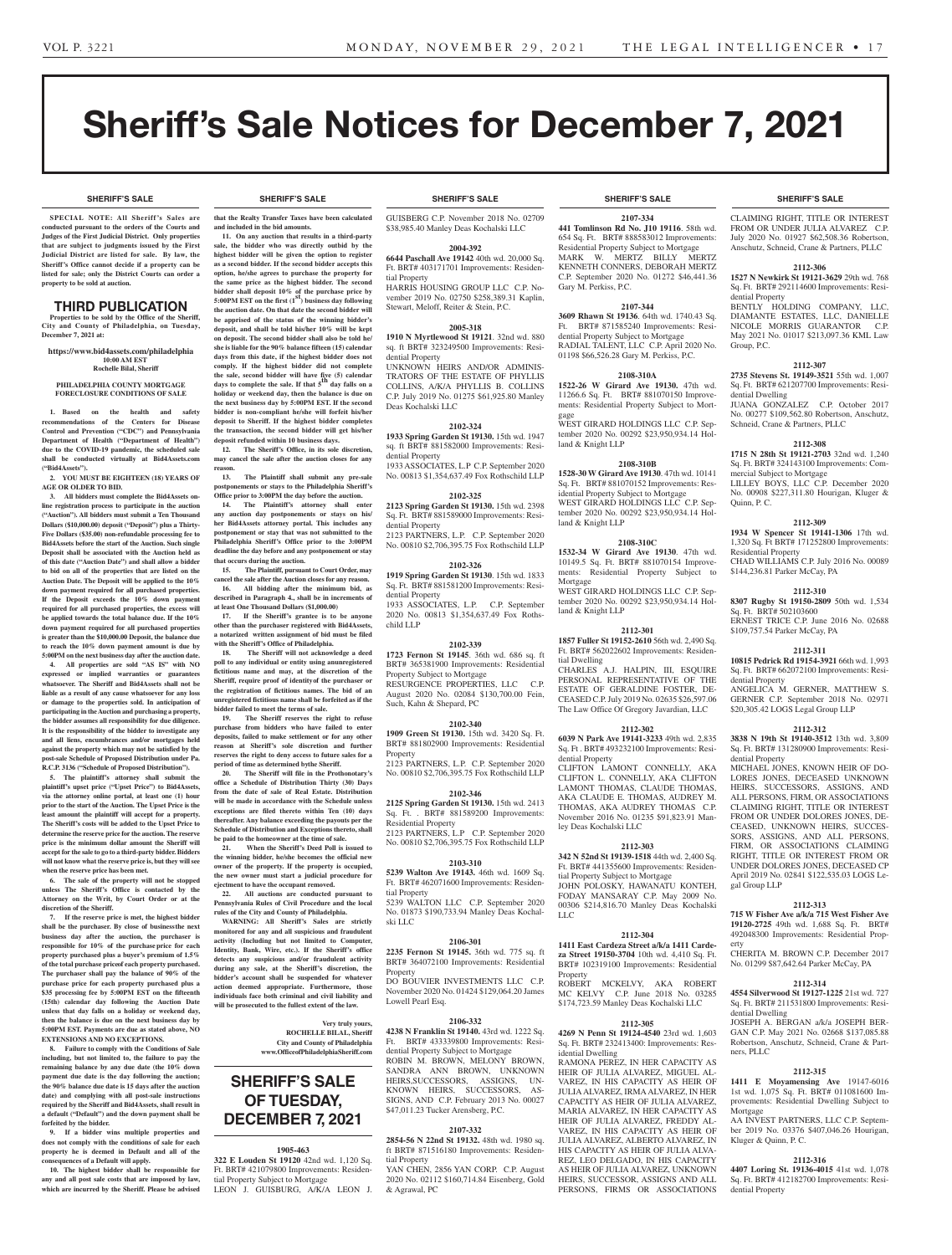# Sheriff's Sale Notices for December 7, 2021

**SHERIFF'S SALE SHERIFF'S SALE SHERIFF'S SALE SHERIFF'S SALE SHERIFF'S SALE**

#### **SHERIFF'S SALE SHERIFF'S SALE SHERIFF'S SALE SHERIFF'S SALE SHERIFF'S SALE**

**SPECIAL NOTE: All Sheriff 's Sales are conducted pursuant to the orders of the Courts and Judges of the First Judicial District. Only properties that are subject to judgments issued by the First Judicial District are listed for sale. By law, the Sheriff's Office cannot decide if a property can be listed for sale; only the District Courts can order a property to be sold at auction.** 

### THIRD PUBLICATION

**Properties to be sold by the Office of the Sheriff, City and County of Philadelphia, on Tuesday, December 7, 2021 at:**

#### **https://www.bid4assets.com/philadelphia 10:00 AM EST Rochelle Bilal, Sheriff**

# **PHILADELPHIA COUNTY MORTGAGE**

**FORECLOSURE CONDITIONS OF SALE**

**1. Based on the health and safety recommendations of the Centers for Disease Control and Prevention ("CDC") and Pennsylvania Department of Health ("Department of Health") due to the COVID-19 pandemic, the scheduled sale shall be conducted virtually at Bid4Assets.com ("Bid4Assets").**

**2. YOU MUST BE EIGHTEEN (18) YEARS OF AGE OR OLDER TO BID.**

**3. All bidders must complete the Bid4Assets online registration process to participate in the auction ("Auction"). All bidders must submit a Ten Thousand Dollars (\$10,000.00) deposit ("Deposit") plus a Thirty-Five Dollars (\$35.00) non-refundable processing fee to Bid4Assets before the start of the Auction. Such single Deposit shall be associated with the Auction held as of this date ("Auction Date") and shall allow a bidder to bid on all of the properties that are listed on the Auction Date. The Deposit will be applied to the 10% down payment required for all purchased properties. If the Deposit exceeds the 10% down payment required for all purchased properties, the excess will be applied towards the total balance due. If the 10% down payment required for all purchased properties is greater than the \$10,000.00 Deposit, the balance due to reach the 10% down payment amount is due by 5:00PM on the next business day after the auction date.**

**4. All properties are sold "AS IS" with NO expressed or implied warranties or guarantees whatsoever. The Sheriff and Bid4Assets shall not be liable as a result of any cause whatsoever for any loss or damage to the properties sold. In anticipation of participating in the Auction and purchasing a property, the bidder assumes all responsibility for due diligence. It is the responsibility of the bidder to investigate any and all liens, encumbrances and/or mortgages held against the property which may not be satisfied by the post-sale Schedule of Proposed Distribution under Pa. R.C.P. 3136 ("Schedule of Proposed Distribution").**

**5. The plaintiff's attorney shall submit the plaintiff's upset price ("Upset Price") to Bid4Assets, via the attorney online portal, at least one (1) hour prior to the start of the Auction. The Upset Price is the least amount the plaintiff will accept for a property. The Sheriff's costs will be added to the Upset Price to determine the reserve price for the auction. The reserve price is the minimum dollar amount the Sheriff will accept for the sale to go to a third-party bidder. Bidders will not know what the reserve price is, but they will see when the reserve price has been met.**

**6. The sale of the property will not be stopped unless The Sheriff's Office is contacted by the Attorney on the Writ, by Court Order or at the discretion of the Sheriff.**

**7. If the reserve price is met, the highest bidder shall be the purchaser. By close of businessthe next business day after the auction, the purchaser is responsible for 10% of the purchase price for each property purchased plus a buyer's premium of 1.5% of the total purchase priceof each property purchased. The purchaser shall pay the balance of 90% of the purchase price for each property purchased plus a \$35 processing fee by 5:00PM EST on the fifteenth (15th) calendar day following the Auction Date unless that day falls on a holiday or weekend day, then the balance is due on the next business day by 5:00PM EST. Payments are due as stated above, NO EXTENSIONS AND NO EXCEPTIONS.**

**8. Failure to comply with the Conditions of Sale including, but not limited to, the failure to pay the remaining balance by any due date (the 10% down payment due date is the day following the auction; the 90% balance due date is 15 days after the auction date) and complying with all post-sale instructions required by the Sheriff and Bid4Assets, shall result in a default ("Default") and the down payment shall be forfeited by the bidder.**

**9. If a bidder wins multiple properties and does not comply with the conditions of sale for each property he is deemed in Default and all of the consequences of a Default will apply.**

**10. The highest bidder shall be responsible for any and all post sale costs that are imposed by law, which are incurred by the Sheriff. Please be advised** 

**that the Realty Transfer Taxes have been calculated and included in the bid amounts.**

**11. On any auction that results in a third-party sale, the bidder who was directly outbid by the highest bidder will be given the option to register as a second bidder. If the second bidder accepts this option, he/she agrees to purchase the property for the same price as the highest bidder. The second bidder shall deposit 10% of the purchase price by 5:00PM EST on the first (1st) business day following the auction date. On that date the second bidder will be apprised of the status of the winning bidder's deposit, and shall be told his/her 10% will be kept on deposit. The second bidder shall also be told he/ she is liable for the 90% balance fifteen (15) calendar days from this date, if the highest bidder does not comply. If the highest bidder did not complete the sale, second bidder will have five (5) calendar days to complete the sale. If that 5th day falls on a holiday or weekend day, then the balance is due on the next business day by 5:00PM EST. If the second bidder is non-compliant he/she will forfeit his/her deposit to Sheriff. If the highest bidder completes the transaction, the second bidder will get his/her deposit refunded within 10 business days.**

**12. The Sheriff's Office, in its sole discretion, may cancel the sale after the auction closes for any reason.**

**13. The Plaintiff shall submit any pre-sale postponements or stays to the Philadelphia Sheriff's** 

**Office prior to 3:00PM the day before the auction. 14. The Plaintiff's attorney shall enter any auction day postponements or stays on his/ her Bid4Assets attorney portal. This includes any postponement or stay that was not submitted to the Philadelphia Sheriff's Office prior to the 3:00PM deadline the day before and any postponement or stay that occurs during the auction.**

**15. The Plaintiff, pursuant to Court Order, may cancel the sale after the Auction closes for any reason. 16. All bidding after the minimum bid, as** 

**described in Paragraph 4., shall be in increments of at least One Thousand Dollars (\$1,000.00) 17. If the Sheriff's grantee is to be anyone** 

**other than the purchaser registered with Bid4Assets, a notarized written assignment of bid must be filed with the Sheriff's Office of Philadelphia. 18. The Sheriff will not acknowledge a deed** 

poll to any individual or entity using an<br>unregistered  $\,$ **fictitious name and may, at the discretion of the Sheriff, require proof of identityof the purchaser or the registration of fictitious names. The bid of an unregistered fictitious name shall be forfeited as if the bidder failed to meet the terms of sale.**

**19. The Sheriff reserves the right to refuse purchase from bidders who have failed to enter deposits, failed to make settlement or for any other reason at Sheriff's sole discretion and further reserves the right to deny access to future sales for a period of time as determined by the Sheriff.**

**20. The Sheriff will file in the Prothonotary's office a Schedule of Distribution Thirty (30) Days from the date of sale of Real Estate. Distribution will be made in accordance with the Schedule unless exceptions are filed thereto within Ten (10) days thereafter. Any balance exceeding the payouts per the Schedule of Distribution and Exceptions thereto, shall be paid to the homeowner at the time of sale.**

**21. When the Sheriff's Deed Poll is issued to the winning bidder, he/she becomes the official new owner of the property. If the property is occupied, the new owner must start a judicial procedure for ejectment to have the occupant removed.**

**22. All auctions are conducted pursuant to Pennsylvania Rules of Civil Procedure and the local rules of the City and County of Philadelphia.**

**WARNING: All Sheriff's Sales are strictly monitored for any and all suspicious and fraudulent activity (Including but not limited to Computer, Identity, Bank, Wire, etc.). If the Sheriff's office detects any suspicious and/or fraudulent activity during any sale, at the Sheriff's discretion, the bidder's account shall be suspended for whatever action deemed appropriate. Furthermore, those individuals face both criminal and civil liability and will be prosecuted to the fullest extent of the law.**

> **Very truly yours, ROCHELLE BILAL, Sheriff City and County of Philadelphia www.OfficeofPhiladelphiaSheriff.com**

# **SHERIFF'S SALE OF TUESDAY, DECEMBER 7, 2021**

#### **1905-463**

**322 E Louden St 19120** 42nd wd. 1,120 Sq. Ft. BRT# 421079800 Improvements: Residential Property Subject to Mortgage LEON J. GUISBURG, A/K/A LEON J.

GUISBERG C.P. November 2018 No. 02709 \$38,985.40 Manley Deas Kochalski LLC

#### **2004-392**

**6644 Paschall Ave 19142** 40th wd. 20,000 Sq. Ft. BRT# 403171701 Improvements: Residential Property

HARRIS HOUSING GROUP LLC C.P. November 2019 No. 02750 \$258,389.31 Kaplin, Stewart, Meloff, Reiter & Stein, P.C.

#### **2005-318**

**1910 N Myrtlewood St 19121**. 32nd wd. 880 sq. ft BRT# 323249500 Improvements: Residential Property

UNKNOWN HEIRS AND/OR ADMINIS-TRATORS OF THE ESTATE OF PHYLLIS COLLINS, A/K/A PHYLLIS B. COLLINS C.P. July 2019 No. 01275 \$61,925.80 Manley Deas Kochalski LLC

#### **2102-324**

**1933 Spring Garden St 19130.** 15th wd. 1947 sq. ft BRT# 881582000 Improvements: Residential Property 1933 ASSOCIATES, L.P C.P. September 2020

No. 00813 \$1,354,637.49 Fox Rothschild LLP

**2102-325**

**2123 Spring Garden St 19130.** 15th wd. 2398 Sq. Ft. BRT# 881589000 Improvements: Residential Property 2123 PARTNERS, L.P. C.P. September 2020 No. 00810 \$2,706,395.75 Fox Rothschild LLP

#### **2102-326**

**1919 Spring Garden St 19130**. 15th wd. 1833 Sq. Ft. BRT# 881581200 Improvements: Residential Property 1933 ASSOCIATES, L.P. C.P. September

2020 No. 00813 \$1,354,637.49 Fox Rothschild LLP

#### **2102-339**

**1723 Fernon St 19145**. 36th wd. 686 sq. ft BRT# 365381900 Improvements: Residential Property Subject to Mortgage RESURGENCE PROPERTIES, LLC C.P. August 2020 No. 02084 \$130,700.00 Fein, Such, Kahn & Shepard, PC

#### **2102-340**

**1909 Green St 19130.** 15th wd. 3420 Sq. Ft. BRT# 881802900 Improvements: Residential Property 2123 PARTNERS, L.P. C.P. September 2020

No. 00810 \$2,706,395.75 Fox Rothschild LLP **2102-346**

**2125 Spring Garden St 19130.** 15th wd. 2413 Sq. Ft. . BRT# 881589200 Improvements: Residential Property 2123 PARTNERS, L.P C.P. September 2020 No. 00810 \$2,706,395.75 Fox Rothschild LLP

#### **2103-310**

**5239 Walton Ave 19143.** 46th wd. 1609 Sq. Ft. BRT# 462071600 Improvements: Residential Property 5239 WALTON LLC C.P. September 2020 No. 01873 \$190,733.94 Manley Deas Kochalski LLC

#### **2106-301**

**2235 Fernon St 19145.** 36th wd. 775 sq. ft BRT# 364072100 Improvements: Residential Property

DO BOUVIER INVESTMENTS LLC C.P. November 2020 No. 01424 \$129,064.20 James

#### **2106-332**

Lowell Pearl Esq.

**4238 N Franklin St 19140.** 43rd wd. 1222 Sq. Ft. BRT# 433339800 Improvements: Residential Property Subject to Mortgage ROBIN M. BROWN, MELONY BROWN, SANDRA ANN BROWN, UNKNOWN HEIRS,SUCCESSORS, ASSIGNS, UN-KNOWN HEIRS, SUCCESSORS, AS-SIGNS, AND C.P. February 2013 No. 00027

#### **2107-332**

\$47,011.23 Tucker Arensberg, P.C.

**2854-56 N 22nd St 19132.** 48th wd. 1980 sq. ft BRT# 871516180 Improvements: Residential Property

YAN CHEN, 2856 YAN CORP. C.P. August 2020 No. 02112 \$160,714.84 Eisenberg, Gold & Agrawal, PC

**2107-334 441 Tomlinson Rd No. J10 19116**. 58th wd. 654 Sq. Ft. BRT# 888583012 Improvements: Residential Property Subject to Mortgage MARK W. MERTZ BILLY MERTZ KENNETH CONNERS, DEBORAH MERTZ C.P. September 2020 No. 01272 \$46,441.36 Gary M. Perkiss, P.C.

#### **2107-344**

**3609 Rhawn St 19136**. 64th wd. 1740.43 Sq. Ft. BRT# 871585240 Improvements: Residential Property Subject to Mortgage RADIAL TALENT, LLC C.P. April 2020 No. 01198 \$66,526.28 Gary M. Perkiss, P.C.

#### **2108-310A**

**1522-26 W Girard Ave 19130.** 47th wd. 11266.6 Sq. Ft. BRT# 881070150 Improvements: Residential Property Subject to Mortgage WEST GIRARD HOLDINGS LLC C.P. September 2020 No. 00292 \$23,950,934.14 Hol-

land & Knight LLP

**2108-310B 1528-30 W Girard Ave 19130**. 47th wd. 10141 Sq. Ft. BRT# 881070152 Improvements: Residential Property Subject to Mortgage WEST GIRARD HOLDINGS LLC C.P. September 2020 No. 00292 \$23,950,934.14 Holland & Knight LLP

#### **2108-310C**

**1532-34 W Girard Ave 19130**. 47th wd. 10149.5 Sq. Ft. BRT# 881070154 Improvements: Residential Property Subject to Mortgage WEST GIRARD HOLDINGS LLC C.P. Sep tember 2020 No. 00292 \$23,950,934.14 Hol-

land & Knight LLP

**2112-301 1857 Fuller St 19152-2610** 56th wd. 2,490 Sq. Ft. BRT# 562022602 Improvements: Residential Dwelling CHARLES A.J. HALPIN, III, ESQUIRE PERSONAL REPRESENTATIVE OF THE ESTATE OF GERALDINE FOSTER, DE-CEASED C.P. July 2019 No. 02635 \$26,597.06 The Law Office Of Gregory Javardian, LLC

#### **2112-302 6039 N Park Ave 19141-3233** 49th wd. 2,835

Sq. Ft . BRT# 493232100 Improvements: Residential Property CLIFTON LAMONT CONNELLY, AKA CLIFTON L. CONNELLY, AKA CLIFTON LAMONT THOMAS, CLAUDE THOMAS, AKA CLAUDE E. THOMAS, AUDREY M. THOMAS, AKA AUDREY THOMAS C.P. November 2016 No. 01235 \$91,823.91 Manley Deas Kochalski LLC

#### **2112-303**

**342 N 52nd St 19139-1518** 44th wd. 2,400 Sq. Ft. BRT# 441355600 Improvements: Residential Property Subject to Mortgage JOHN POLOSKY, HAWANATU KONTEH, FODAY MANSARAY C.P. May 2009 No. 00306 \$214,816.70 Manley Deas Kochalski LLC

#### **2112-304**

**1411 East Cardeza Street a/k/a 1411 Cardeza Street 19150-3704** 10th wd. 4,410 Sq. Ft. BRT# 102319100 Improvements: Residential **Property** ROBERT MCKELVY, AKA ROBERT

MC KELVY C.P. June 2018 No. 03285 \$174,723.59 Manley Deas Kochalski LLC **2112-305 4269 N Penn St 19124-4540** 23rd wd. 1,603

Sq. Ft. BRT# 232413400: Improvements: Residential Dwelling

RAMONA PEREZ, IN HER CAPACITY AS HEIR OF JULIA ALVAREZ, MIGUEL AL-VAREZ, IN HIS CAPACITY AS HEIR OF JULIA ALVAREZ, IRMA ALVAREZ, IN HER CAPACITY AS HEIR OF JULIA ALVAREZ, MARIA ALVAREZ, IN HER CAPACITY AS HEIR OF JULIA ALVAREZ, FREDDY AL-VAREZ, IN HIS CAPACITY AS HEIR OF JULIA ALVAREZ, ALBERTO ALVAREZ, IN HIS CAPACITY AS HEIR OF JULIA ALVA-REZ, LEO DELGADO, IN HIS CAPACITY AS HEIR OF JULIA ALVAREZ, UNKNOWN HEIRS, SUCCESSOR, ASSIGNS AND ALL PERSONS, FIRMS OR ASSOCIATIONS

CLAIMING RIGHT, TITLE OR INTEREST FROM OR UNDER JULIA ALVAREZ C.P. July 2020 No. 01927 \$62,508.36 Robertson, Anschutz, Schneid, Crane & Partners, PLLC

#### **2112-306**

**1527 N Newkirk St 19121-3629** 29th wd. 768 Sq. Ft. BRT# 292114600 Improvements: Residential Property BENTLY HOLDING COMPANY, LLC,

DIAMANTE ESTATES, LLC, DANIELLE NICOLE MORRIS GUARANTOR C.P. May 2021 No. 01017 \$213,097.36 KML Law Group, P.C.

### **2112-307**

**2735 Stevens St. 19149-3521** 55th wd. 1,007 Sq. Ft. BRT# 621207700 Improvements: Residential Dwelling JUANA GONZALEZ C.P. October 2017 No. 00277 \$109,562.80 Robertson, Anschutz,

## Schneid, Crane & Partners, PLLC **2112-308**

**1715 N 28th St 19121-2703** 32nd wd. 1,240 Sq. Ft. BRT# 324143100 Improvements: Commercial Subject to Mortgage LILLEY BOYS, LLC C.P. December 2020 No. 00908 \$227,311.80 Hourigan, Kluger & Quinn, P. C.

#### **2112-309 1934 W Spencer St 19141-1306** 17th wd.

Residential Property

\$144,236.81 Parker McCay, PA

\$109,757.54 Parker McCay, PA

Sq. Ft. BRT# 502103600

dential Property

dential Property

gal Group LLP

dential Dwelling

ners, PLLC

Mortgage

Kluger & Quinn, P. C.

dential Property

erty

1,320 Sq. Ft BRT# 171252800 Improvements:

CHAD WILLIAMS C.P. July 2016 No. 00089

**2112-310 8307 Rugby St 19150-2809** 50th wd. 1,534

ERNEST TRICE C.P. June 2016 No. 02688

**2112-311 10815 Pedrick Rd 19154-3921** 66th wd. 1,993 Sq. Ft. BRT# 662072100 Improvements: Resi-

ANGELICA M. GERNER, MATTHEW S. GERNER C.P. September 2018 No. 02971 \$20,305.42 LOGS Legal Group LLP

**2112-312 3838 N 19th St 19140-3512** 13th wd. 3,809 Sq. Ft. BRT# 131280900 Improvements: Resi-

MICHAEL JONES, KNOWN HEIR OF DO-LORES JONES, DECEASED UNKNOWN HEIRS, SUCCESSORS, ASSIGNS, AND ALL PERSONS, FIRM, OR ASSOCIATIONS CLAIMING RIGHT, TITLE OR INTEREST FROM OR UNDER DOLORES JONES, DE-CEASED, UNKNOWN HEIRS, SUCCES-SORS, ASSIGNS, AND ALL PERSONS, FIRM, OR ASSOCIATIONS CLAIMING RIGHT, TITLE OR INTEREST FROM OR UNDER DOLORES JONES, DECEASED CP April 2019 No. 02841 \$122,535.03 LOGS Le-

**2112-313 715 W Fisher Ave a/k/a 715 West Fisher Ave 19120-2725** 49th wd. 1,688 Sq. Ft. BRT# 492048300 Improvements: Residential Prop-

CHERITA M. BROWN C.P. December 2017 No. 01299 \$87,642.64 Parker McCay, PA **2112-314 4554 Silverwood St 19127-1225** 21st wd. 727 Sq. Ft. BRT# 211531800 Improvements: Resi-

JOSEPH A. BERGAN a/k/a JOSEPH BER-GAN C.P. May 2021 No. 02668 \$137,085.88 Robertson, Anschutz, Schneid, Crane & Part-

**2112-315 1411 E Moyamensing Ave** 19147-6016 1st wd. 1,075 Sq. Ft. BRT# 011081600 Improvements: Residential Dwelling Subject to

AA INVEST PARTNERS, LLC C.P. September 2019 No. 03376 \$407,046.26 Hourigan,

**2112-316 4407 Loring St. 19136-4015** 41st wd. 1,078 Sq. Ft. BRT# 412182700 Improvements: Resi-